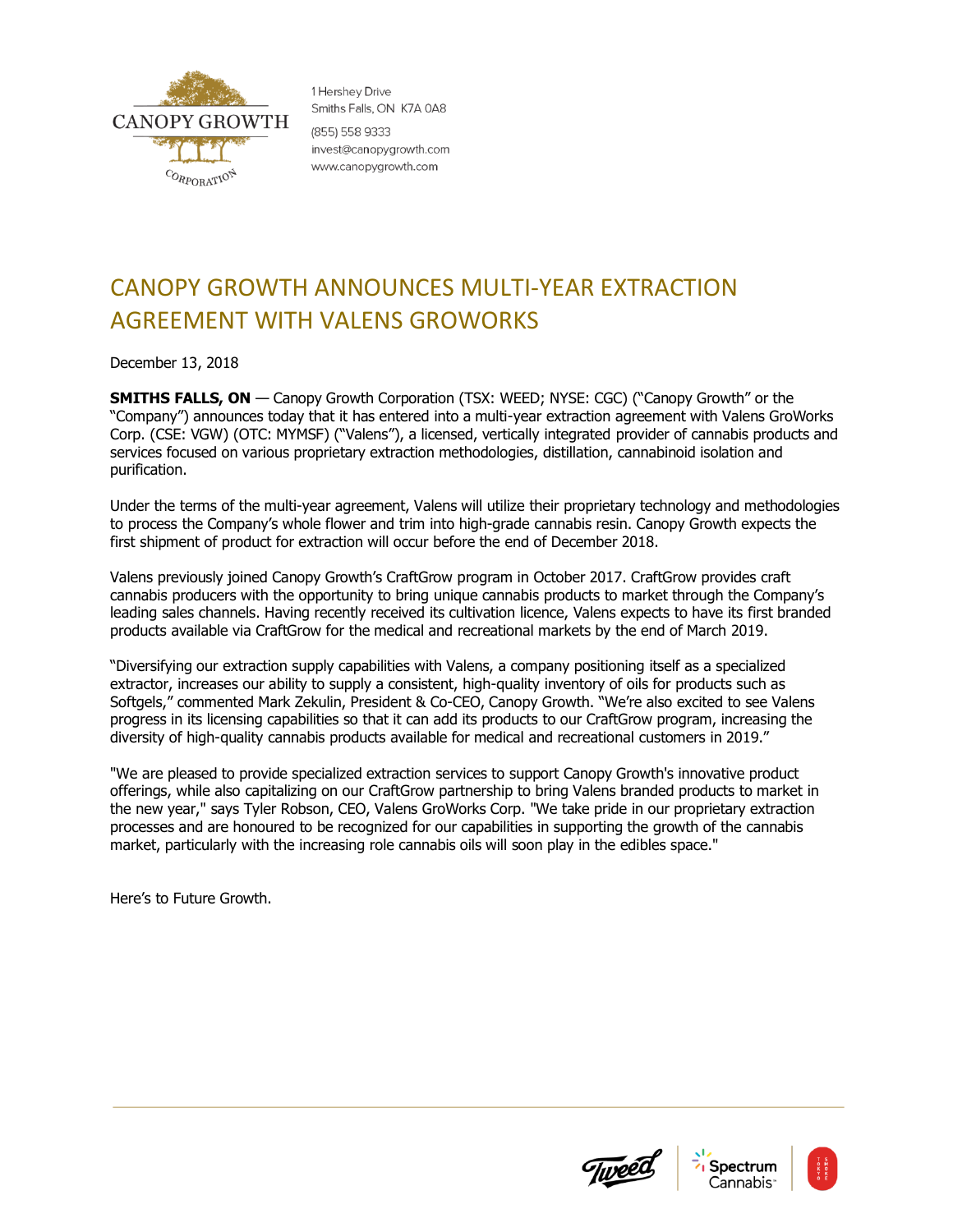

1 Hershev Drive Smiths Falls, ON K7A 0A8 (855) 558 9333 invest@canopygrowth.com www.canopygrowth.com

## CANOPY GROWTH ANNOUNCES MULTI-YEAR EXTRACTION AGREEMENT WITH VALENS GROWORKS

December 13, 2018

**SMITHS FALLS, ON** — Canopy Growth Corporation (TSX: WEED; NYSE: CGC) ("Canopy Growth" or the "Company") announces today that it has entered into a multi-year extraction agreement with Valens GroWorks Corp. (CSE: VGW) (OTC: MYMSF) ("Valens"), a licensed, vertically integrated provider of cannabis products and services focused on various proprietary extraction methodologies, distillation, cannabinoid isolation and purification.

Under the terms of the multi-year agreement, Valens will utilize their proprietary technology and methodologies to process the Company's whole flower and trim into high-grade cannabis resin. Canopy Growth expects the first shipment of product for extraction will occur before the end of December 2018.

Valens previously joined Canopy Growth's CraftGrow program in October 2017. CraftGrow provides craft cannabis producers with the opportunity to bring unique cannabis products to market through the Company's leading sales channels. Having recently received its cultivation licence, Valens expects to have its first branded products available via CraftGrow for the medical and recreational markets by the end of March 2019.

"Diversifying our extraction supply capabilities with Valens, a company positioning itself as a specialized extractor, increases our ability to supply a consistent, high-quality inventory of oils for products such as Softgels," commented Mark Zekulin, President & Co-CEO, Canopy Growth. "We're also excited to see Valens progress in its licensing capabilities so that it can add its products to our CraftGrow program, increasing the diversity of high-quality cannabis products available for medical and recreational customers in 2019."

"We are pleased to provide specialized extraction services to support Canopy Growth's innovative product offerings, while also capitalizing on our CraftGrow partnership to bring Valens branded products to market in the new year," says Tyler Robson, CEO, Valens GroWorks Corp. "We take pride in our proprietary extraction processes and are honoured to be recognized for our capabilities in supporting the growth of the cannabis market, particularly with the increasing role cannabis oils will soon play in the edibles space."

Here's to Future Growth.